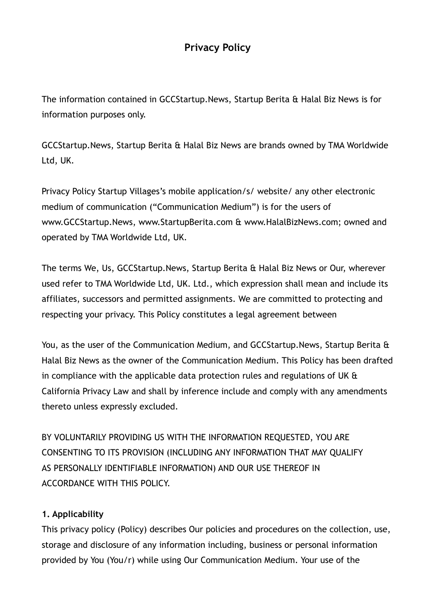# **Privacy Policy**

The information contained in GCCStartup.News, Startup Berita & Halal Biz News is for information purposes only.

GCCStartup.News, Startup Berita & Halal Biz News are brands owned by TMA Worldwide Ltd, UK.

Privacy Policy Startup Villages's mobile application/s/ website/ any other electronic medium of communication ("Communication Medium") is for the users of www.GCCStartup.News, www.StartupBerita.com & www.HalalBizNews.com; owned and operated by TMA Worldwide Ltd, UK.

The terms We, Us, GCCStartup.News, Startup Berita & Halal Biz News or Our, wherever used refer to TMA Worldwide Ltd, UK. Ltd., which expression shall mean and include its affiliates, successors and permitted assignments. We are committed to protecting and respecting your privacy. This Policy constitutes a legal agreement between

You, as the user of the Communication Medium, and GCCStartup.News, Startup Berita & Halal Biz News as the owner of the Communication Medium. This Policy has been drafted in compliance with the applicable data protection rules and regulations of UK & California Privacy Law and shall by inference include and comply with any amendments thereto unless expressly excluded.

BY VOLUNTARILY PROVIDING US WITH THE INFORMATION REQUESTED, YOU ARE CONSENTING TO ITS PROVISION (INCLUDING ANY INFORMATION THAT MAY QUALIFY AS PERSONALLY IDENTIFIABLE INFORMATION) AND OUR USE THEREOF IN ACCORDANCE WITH THIS POLICY.

## **1. Applicability**

This privacy policy (Policy) describes Our policies and procedures on the collection, use, storage and disclosure of any information including, business or personal information provided by You (You/r) while using Our Communication Medium. Your use of the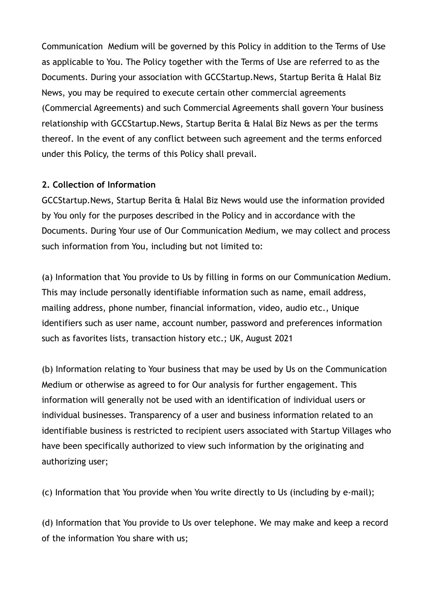Communication Medium will be governed by this Policy in addition to the Terms of Use as applicable to You. The Policy together with the Terms of Use are referred to as the Documents. During your association with GCCStartup.News, Startup Berita & Halal Biz News, you may be required to execute certain other commercial agreements (Commercial Agreements) and such Commercial Agreements shall govern Your business relationship with GCCStartup.News, Startup Berita & Halal Biz News as per the terms thereof. In the event of any conflict between such agreement and the terms enforced under this Policy, the terms of this Policy shall prevail.

### **2. Collection of Information**

GCCStartup.News, Startup Berita & Halal Biz News would use the information provided by You only for the purposes described in the Policy and in accordance with the Documents. During Your use of Our Communication Medium, we may collect and process such information from You, including but not limited to:

(a) Information that You provide to Us by filling in forms on our Communication Medium. This may include personally identifiable information such as name, email address, mailing address, phone number, financial information, video, audio etc., Unique identifiers such as user name, account number, password and preferences information such as favorites lists, transaction history etc.; UK, August 2021

(b) Information relating to Your business that may be used by Us on the Communication Medium or otherwise as agreed to for Our analysis for further engagement. This information will generally not be used with an identification of individual users or individual businesses. Transparency of a user and business information related to an identifiable business is restricted to recipient users associated with Startup Villages who have been specifically authorized to view such information by the originating and authorizing user;

(c) Information that You provide when You write directly to Us (including by e-mail);

(d) Information that You provide to Us over telephone. We may make and keep a record of the information You share with us;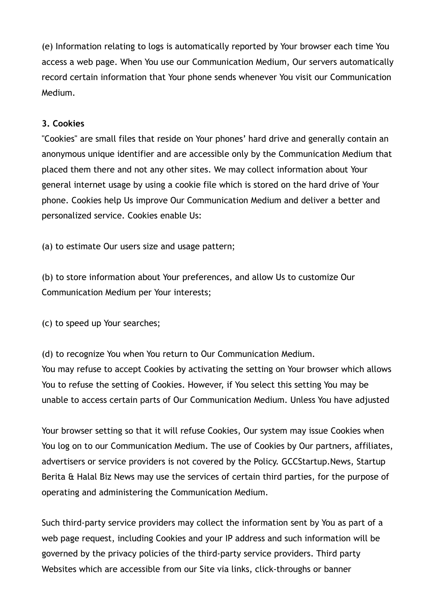(e) Information relating to logs is automatically reported by Your browser each time You access a web page. When You use our Communication Medium, Our servers automatically record certain information that Your phone sends whenever You visit our Communication Medium.

### **3. Cookies**

"Cookies" are small files that reside on Your phones' hard drive and generally contain an anonymous unique identifier and are accessible only by the Communication Medium that placed them there and not any other sites. We may collect information about Your general internet usage by using a cookie file which is stored on the hard drive of Your phone. Cookies help Us improve Our Communication Medium and deliver a better and personalized service. Cookies enable Us:

(a) to estimate Our users size and usage pattern;

(b) to store information about Your preferences, and allow Us to customize Our Communication Medium per Your interests;

(c) to speed up Your searches;

(d) to recognize You when You return to Our Communication Medium. You may refuse to accept Cookies by activating the setting on Your browser which allows You to refuse the setting of Cookies. However, if You select this setting You may be unable to access certain parts of Our Communication Medium. Unless You have adjusted

Your browser setting so that it will refuse Cookies, Our system may issue Cookies when You log on to our Communication Medium. The use of Cookies by Our partners, affiliates, advertisers or service providers is not covered by the Policy. GCCStartup.News, Startup Berita & Halal Biz News may use the services of certain third parties, for the purpose of operating and administering the Communication Medium.

Such third-party service providers may collect the information sent by You as part of a web page request, including Cookies and your IP address and such information will be governed by the privacy policies of the third-party service providers. Third party Websites which are accessible from our Site via links, click-throughs or banner